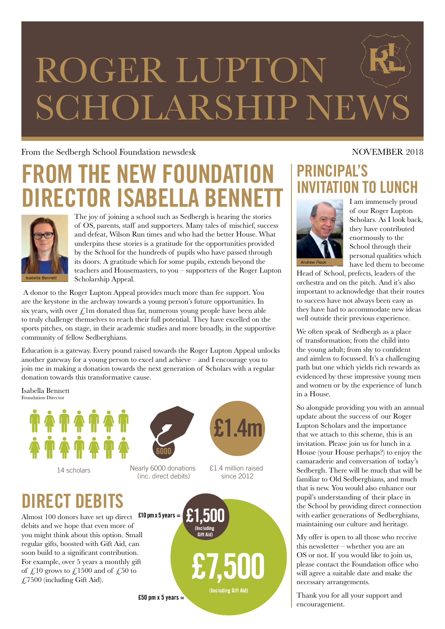# ROGER LUPTO SCHOLARSHIP NEW

#### From the Sedbergh School Foundation newsdesk NOVEMBER 2018

# **HE NEW FOUNDATIO** RECTOR ISABELLA BENI



The joy of joining a school such as Sedbergh is hearing the stories of OS, parents, staff and supporters. Many tales of mischief, success and defeat, Wilson Run times and who had the better House. What underpins these stories is a gratitude for the opportunities provided by the School for the hundreds of pupils who have passed through its doors. A gratitude which for some pupils, extends beyond the teachers and Housemasters, to you – supporters of the Roger Lupton Scholarship Appeal.

 A donor to the Roger Lupton Appeal provides much more than fee support. You are the keystone in the archway towards a young person's future opportunities. In six years, with over  $\oint$ 1m donated thus far, numerous young people have been able to truly challenge themselves to reach their full potential. They have excelled on the sports pitches, on stage, in their academic studies and more broadly, in the supportive community of fellow Sedberghians.

Education is a gateway. Every pound raised towards the Roger Lupton Appeal unlocks another gateway for a young person to excel and achieve – and I encourage you to join me in making a donation towards the next generation of Scholars with a regular donation towards this transformative cause.

Isabella Bennett Foundation Director





14 scholars Nearly 6000 donations (inc. direct debits)



£1.4 million raised since 2012



## **PRINCIPAL'S INVITATION TO LUNCH**



I am immensely proud of our Roger Lupton Scholars. As I look back, they have contributed enormously to the School through their personal qualities which have led them to become

Head of School, prefects, leaders of the orchestra and on the pitch. And it's also important to acknowledge that their routes to success have not always been easy as they have had to accommodate new ideas well outside their previous experience.

We often speak of Sedbergh as a place of transformation; from the child into the young adult; from shy to confident and aimless to focussed. It's a challenging path but one which yields rich rewards as evidenced by these impressive young men and women or by the experience of lunch in a House.

So alongside providing you with an annual update about the success of our Roger Lupton Scholars and the importance that we attach to this scheme, this is an invitation. Please join us for lunch in a House (your House perhaps?) to enjoy the camaraderie and conversation of today's Sedbergh. There will be much that will be familiar to Old Sedberghians, and much that is new. You would also enhance our pupil's understanding of their place in the School by providing direct connection with earlier generations of Sedberghians, maintaining our culture and heritage.

My offer is open to all those who receive this newsletter – whether you are an OS or not. If you would like to join us, please contact the Foundation office who will agree a suitable date and make the necessary arrangements.

Thank you for all your support and encouragement.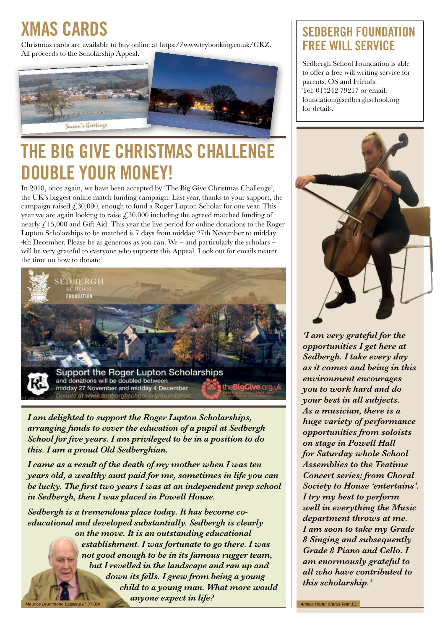# **XMAS CARDS**

Christmas cards are available to buy online at https://www.trybooking.co.uk/GRZ. All proceeds to the Scholarship Appeal.



# **THE BIG GIVE CHRISTMAS CHALLENGE DOUBLE YOUR MONEY!**

In 2018, once again, we have been accepted by 'The Big Give Christmas Challenge', the UK's biggest online match funding campaign. Last year, thanks to your support, the campaign raised  $£30,000$ , enough to fund a Roger Lupton Scholar for one year. This year we are again looking to raise  $£30,000$  including the agreed matched funding of nearly  $\text{\textsterling}15,000$  and Gift Aid. This year the live period for online donations to the Roger Lupton Scholarships to be matched is 7 days from midday 27th November to midday 4th December. Please be as generous as you can. We – and particularly the scholars – will be very grateful to everyone who supports this Appeal. Look out for emails nearer the time on how to donate!



*I am delighted to support the Roger Lupton Scholarships, arranging funds to cover the education of a pupil at Sedbergh School for five years. I am privileged to be in a position to do this. I am a proud Old Sedberghian.*

*I came as a result of the death of my mother when I was ten years old, a wealthy aunt paid for me, sometimes in life you can be lucky. The first two years I was at an independent prep school in Sedbergh, then I was placed in Powell House.*

*Sedbergh is a tremendous place today. It has become coeducational and developed substantially. Sedbergh is clearly on the move. It is an outstanding educational establishment. I was fortunate to go there. I was not good enough to be in its famous rugger team, but I revelled in the landscape and ran up and down its fells. I grew from being a young child to a young man. What more would*  **anyone expect in life?** *anyone expect in life?* 

### **SEDBERGH FOUNDATION FREE WILL SERVICE**

Sedbergh School Foundation is able to offer a free will writing service for parents, OS and Friends. Tel: 015242 79217 or email: foundation@sedberghschool.org for details.



*'I am very grateful for the opportunities I get here at Sedbergh. I take every day as it comes and being in this environment encourages you to work hard and do your best in all subjects. As a musician, there is a huge variety of performance opportunities from soloists on stage in Powell Hall for Saturday whole School Assemblies to the Teatime Concert series; from Choral Society to House 'entertains'. I try my best to perform well in everything the Music department throws at me. I am soon to take my Grade 8 Singing and subsequently Grade 8 Piano and Cello. I am enormously grateful to all who have contributed to this scholarship.'*

*Amelia Horan (Carus Year 11)*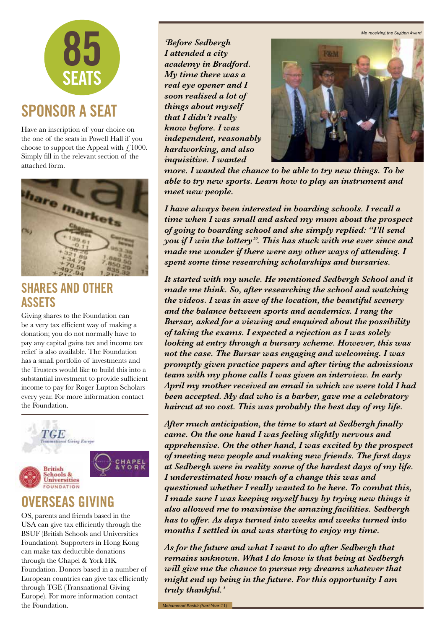*Mo receiving the Sugden Award*



Have an inscription of your choice on the one of the seats in Powell Hall if you choose to support the Appeal with  $\mathcal{L}1000$ . Simply fill in the relevant section of the attached form.



#### **SHARES AND OTHER ASSETS**

Giving shares to the Foundation can be a very tax efficient way of making a donation; you do not normally have to pay any capital gains tax and income tax relief is also available. The Foundation has a small portfolio of investments and the Trustees would like to build this into a substantial investment to provide sufficient income to pay for Roger Lupton Scholars every year. For more information contact the Foundation.



### **OVERSEAS GIVING**

OS, parents and friends based in the USA can give tax efficiently through the BSUF (British Schools and Universities Foundation). Supporters in Hong Kong can make tax deductible donations through the Chapel & York HK Foundation. Donors based in a number of European countries can give tax efficiently through TGE (Transnational Giving Europe). For more information contact the Foundation.

*'Before Sedbergh I attended a city academy in Bradford. My time there was a real eye opener and I soon realised a lot of things about myself that I didn't really know before. I was independent, reasonably hardworking, and also inquisitive. I wanted* 



*more. I wanted the chance to be able to try new things. To be able to try new sports. Learn how to play an instrument and meet new people.*

*I have always been interested in boarding schools. I recall a time when I was small and asked my mum about the prospect of going to boarding school and she simply replied: "I'll send you if I win the lottery". This has stuck with me ever since and made me wonder if there were any other ways of attending. I spent some time researching scholarships and bursaries.*

*It started with my uncle. He mentioned Sedbergh School and it made me think. So, after researching the school and watching the videos. I was in awe of the location, the beautiful scenery and the balance between sports and academics. I rang the Bursar, asked for a viewing and enquired about the possibility of taking the exams. I expected a rejection as I was solely looking at entry through a bursary scheme. However, this was not the case. The Bursar was engaging and welcoming. I was promptly given practice papers and after tiring the admissions team with my phone calls I was given an interview. In early April my mother received an email in which we were told I had been accepted. My dad who is a barber, gave me a celebratory haircut at no cost. This was probably the best day of my life.*

*After much anticipation, the time to start at Sedbergh finally came. On the one hand I was feeling slightly nervous and apprehensive. On the other hand, I was excited by the prospect of meeting new people and making new friends. The first days at Sedbergh were in reality some of the hardest days of my life. I underestimated how much of a change this was and questioned whether I really wanted to be here. To combat this, I made sure I was keeping myself busy by trying new things it also allowed me to maximise the amazing facilities. Sedbergh has to offer. As days turned into weeks and weeks turned into months I settled in and was starting to enjoy my time.*

*As for the future and what I want to do after Sedbergh that remains unknown. What I do know is that being at Sedbergh will give me the chance to pursue my dreams whatever that might end up being in the future. For this opportunity I am truly thankful.'*